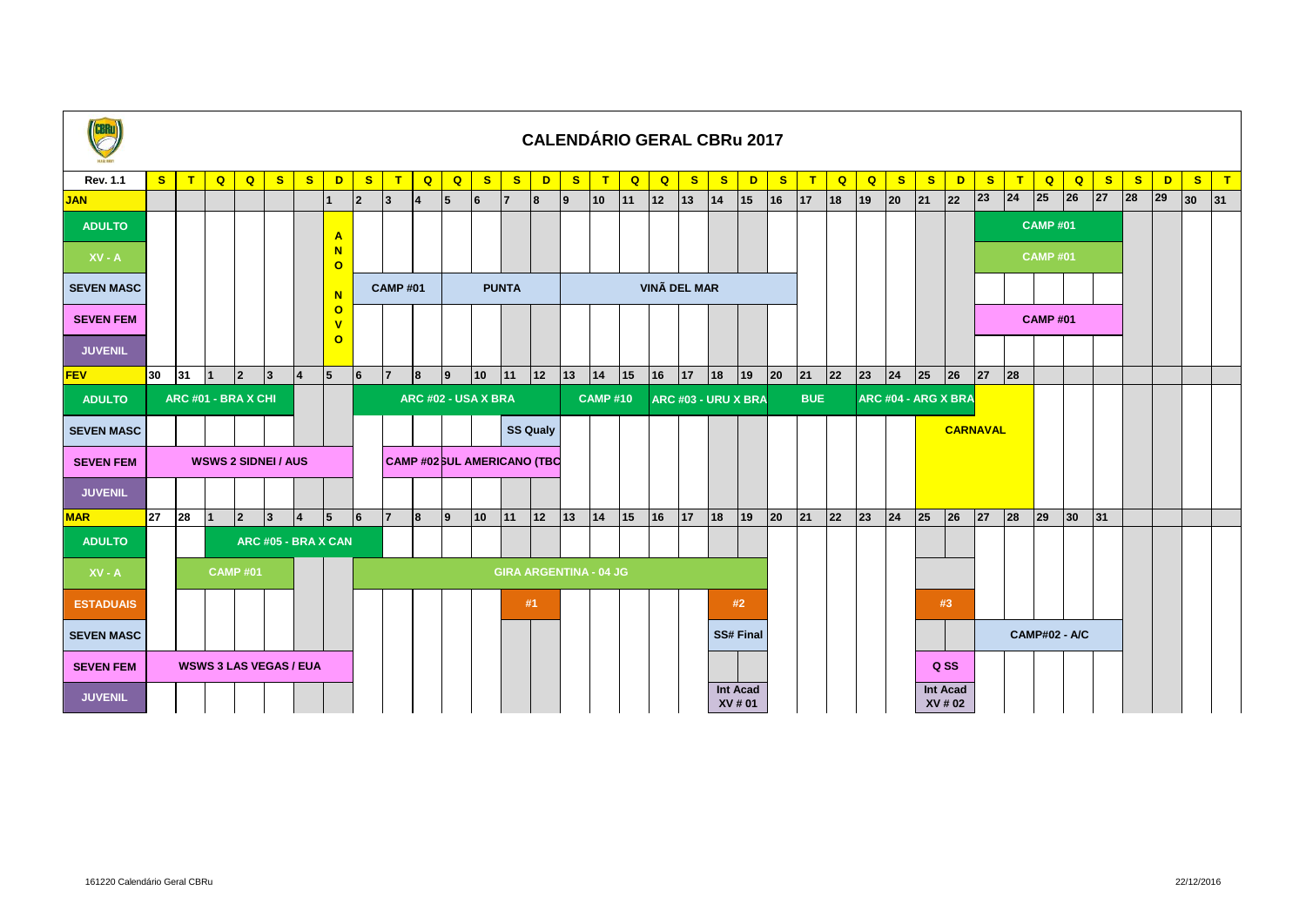| <b>CBRu</b>       | <b>CALENDÁRIO GERAL CBRu 2017</b> |    |                            |                |              |                    |                                    |                |                     |                                    |              |              |              |              |              |                               |                |                     |    |                  |                     |              |              |             |              |                     |    |                            |              |                      |                 |                 |              |    |              |    |              |
|-------------------|-----------------------------------|----|----------------------------|----------------|--------------|--------------------|------------------------------------|----------------|---------------------|------------------------------------|--------------|--------------|--------------|--------------|--------------|-------------------------------|----------------|---------------------|----|------------------|---------------------|--------------|--------------|-------------|--------------|---------------------|----|----------------------------|--------------|----------------------|-----------------|-----------------|--------------|----|--------------|----|--------------|
| <b>Rev. 1.1</b>   | S                                 | T  | $\mathbf{Q}$               | Q              | $\mathbf{s}$ | $\mathbf{s}$       | D                                  | $\mathbf{s}$   | T                   | Q                                  | Q            | $\mathbf{s}$ | $\mathbf{s}$ | D            | $\mathbf{s}$ | $\mathbf{T}$                  | $\overline{Q}$ | $\mathbf{Q}$        | S  | $\mathbf{s}$     | $\mathbf{D}$        | $\mathbf{s}$ | T            | $\mathbf Q$ | Q            | $\mathbf{s}$        | S  | D                          | $\mathbf{s}$ | $\mathbf{T}$         | $\mathbf{Q}$    | Q               | $\mathbf{s}$ | S  | D            | s  | $\mathbf{T}$ |
| <b>JAN</b>        |                                   |    |                            |                |              |                    |                                    | $\overline{2}$ | 13                  | 14                                 | 5            | 6            | $\mathsf{I}$ | 8            | <u> 9</u>    | 10                            | 11             | 12                  | 13 | 14               | 15                  | 16           | 17           | 18          | 19           | 20                  | 21 | 22                         | 23           | 24                   | 25              | 26              | 27           | 28 | $ 29\rangle$ | 30 | 31           |
| <b>ADULTO</b>     |                                   |    |                            |                |              |                    | $\mathbf{A}$                       |                |                     |                                    |              |              |              |              |              |                               |                |                     |    |                  |                     |              |              |             |              |                     |    |                            |              |                      | <b>CAMP #01</b> |                 |              |    |              |    |              |
| $XY - A$          |                                   |    |                            |                |              |                    | N<br>$\circ$                       |                |                     |                                    |              |              |              |              |              |                               |                |                     |    |                  |                     |              |              |             |              |                     |    |                            |              |                      | <b>CAMP #01</b> |                 |              |    |              |    |              |
| <b>SEVEN MASC</b> |                                   |    |                            |                |              |                    |                                    |                | <b>CAMP#01</b>      |                                    | <b>PUNTA</b> |              |              |              |              |                               |                | <b>VINÃ DEL MAR</b> |    |                  |                     |              |              |             |              |                     |    |                            |              |                      |                 |                 |              |    |              |    |              |
| <b>SEVEN FEM</b>  |                                   |    |                            |                |              |                    | $\circ$<br>$\overline{\mathsf{v}}$ |                |                     |                                    |              |              |              |              |              |                               |                |                     |    |                  |                     |              |              |             |              |                     |    |                            |              |                      | <b>CAMP#01</b>  |                 |              |    |              |    |              |
| <b>JUVENIL</b>    |                                   |    |                            |                |              |                    | $\circ$                            |                |                     |                                    |              |              |              |              |              |                               |                |                     |    |                  |                     |              |              |             |              |                     |    |                            |              |                      |                 |                 |              |    |              |    |              |
| <b>FEV</b>        | $ 30\rangle$                      | 31 | $\overline{1}$             | 2              | 3            | $\overline{4}$     | 5                                  | 6              | $\overline{7}$      | 8                                  | $ 9\rangle$  | 10           | 11           | $ 12\rangle$ | $ 13\rangle$ | 14                            | 15             | 16                  | 17 | 18               | $ 19\rangle$        | 20           | $ 21\rangle$ | 22          | $ 23\rangle$ | 24                  | 25 | 26                         | 27           | 28                   |                 |                 |              |    |              |    |              |
| <b>ADULTO</b>     | ARC #01 - BRA X CHI               |    |                            |                |              |                    |                                    |                | ARC #02 - USA X BRA |                                    |              |              |              |              |              | <b>CAMP#10</b>                |                |                     |    |                  | ARC #03 - URU X BRA |              | <b>BUE</b>   |             |              | ARC #04 - ARG X BRA |    |                            |              |                      |                 |                 |              |    |              |    |              |
| <b>SEVEN MASC</b> |                                   |    |                            |                |              |                    |                                    |                |                     | <b>SS Qualy</b>                    |              |              |              |              |              |                               |                |                     |    |                  |                     |              |              |             |              |                     |    | <b>CARNAVAL</b>            |              |                      |                 |                 |              |    |              |    |              |
| <b>SEVEN FEM</b>  |                                   |    | <b>WSWS 2 SIDNEI / AUS</b> |                |              |                    |                                    |                |                     | <b>CAMP #02 SUL AMERICANO (TBC</b> |              |              |              |              |              |                               |                |                     |    |                  |                     |              |              |             |              |                     |    |                            |              |                      |                 |                 |              |    |              |    |              |
| <b>JUVENIL</b>    |                                   |    |                            |                |              |                    |                                    |                |                     |                                    |              |              |              |              |              |                               |                |                     |    |                  |                     |              |              |             |              |                     |    |                            |              |                      |                 |                 |              |    |              |    |              |
| <b>MAR</b>        | <b>27</b>                         | 28 | $\overline{1}$             | $ 2\rangle$    | $ 3\rangle$  | $\vert$ 4          | 5                                  | 6              | $\overline{7}$      | 8                                  | <u> 9</u>    | 10           | 11           | $ 12\rangle$ | $ 13\rangle$ | 14                            | 15             | 16                  | 17 | $ 18\rangle$     | $ 19\rangle$        | 20           | 21           | 22          | $ 23\rangle$ | 24                  | 25 | 26                         | 27           | 28                   | 29              | 30 <sub>o</sub> | 31           |    |              |    |              |
| <b>ADULTO</b>     |                                   |    |                            |                |              | ARC #05 - BRAX CAN |                                    |                |                     |                                    |              |              |              |              |              |                               |                |                     |    |                  |                     |              |              |             |              |                     |    |                            |              |                      |                 |                 |              |    |              |    |              |
| $XV - A$          |                                   |    |                            | <b>CAMP#01</b> |              |                    |                                    |                |                     |                                    |              |              |              |              |              | <b>GIRA ARGENTINA - 04 JG</b> |                |                     |    |                  |                     |              |              |             |              |                     |    |                            |              |                      |                 |                 |              |    |              |    |              |
| <b>ESTADUAIS</b>  |                                   |    |                            |                |              |                    |                                    |                |                     |                                    |              |              |              | #1           |              |                               |                |                     |    |                  | #2                  |              |              |             |              |                     |    | #3                         |              |                      |                 |                 |              |    |              |    |              |
| <b>SEVEN MASC</b> |                                   |    |                            |                |              |                    |                                    |                |                     |                                    |              |              |              |              |              |                               |                |                     |    | <b>SS# Final</b> |                     |              |              |             |              |                     |    |                            |              | <b>CAMP#02 - A/C</b> |                 |                 |              |    |              |    |              |
| <b>SEVEN FEM</b>  | <b>WSWS 3 LAS VEGAS / EUA</b>     |    |                            |                |              |                    |                                    |                |                     |                                    |              |              |              |              |              |                               |                |                     |    |                  |                     |              |              |             |              |                     |    | Q SS                       |              |                      |                 |                 |              |    |              |    |              |
| <b>JUVENIL</b>    |                                   |    |                            |                |              |                    |                                    |                |                     |                                    |              |              |              |              |              |                               |                |                     |    |                  | Int Acad<br>XV # 01 |              |              |             |              |                     |    | <b>Int Acad</b><br>XV # 02 |              |                      |                 |                 |              |    |              |    |              |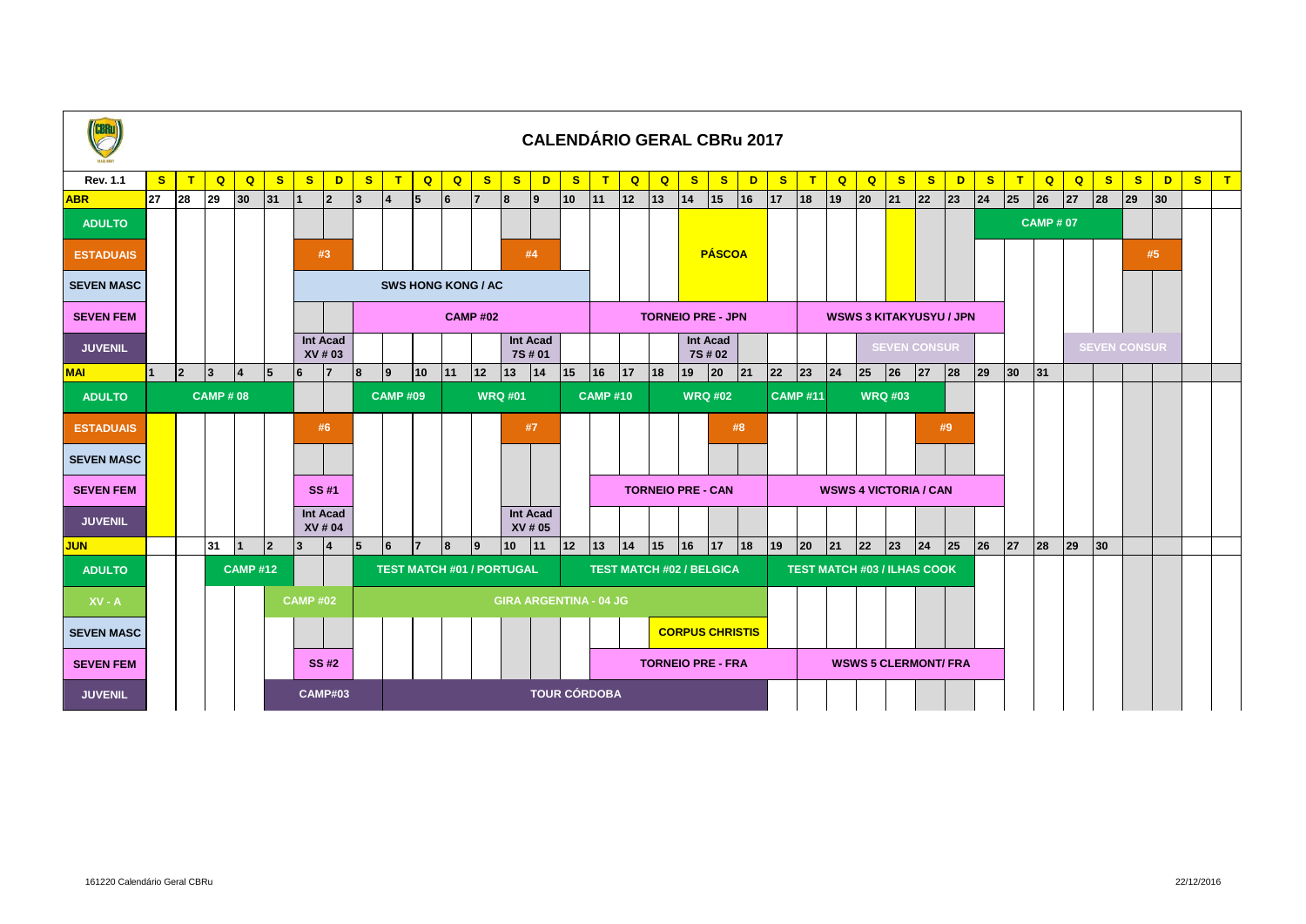| <b>CBRu</b>       |                |                |                                                                                 |                           |              |                 |                            |              |                                   |                         |    |                                  |              |                               |                                  |                                 |                          |              |              | <b>CALENDÁRIO GERAL CBRu 2017</b> |                 |                     |    |                                |                             |                                    |              |    |              |              |                |              |              |              |                 |              |              |
|-------------------|----------------|----------------|---------------------------------------------------------------------------------|---------------------------|--------------|-----------------|----------------------------|--------------|-----------------------------------|-------------------------|----|----------------------------------|--------------|-------------------------------|----------------------------------|---------------------------------|--------------------------|--------------|--------------|-----------------------------------|-----------------|---------------------|----|--------------------------------|-----------------------------|------------------------------------|--------------|----|--------------|--------------|----------------|--------------|--------------|--------------|-----------------|--------------|--------------|
| <b>Rev. 1.1</b>   | $\mathbf{s}$   | T              | $\mathbf Q$                                                                     | $\overline{Q}$            | $\mathbf{s}$ | S               | D                          | $\mathbf{s}$ | $\mathbf{T}$                      | $\overline{\mathbf{Q}}$ | Q  | $\mathbf{s}$                     | $\mathbf{s}$ | D                             | $\mathbf{s}$                     | $\mathbf{T}$                    | Q                        | Q            | $\mathbf{s}$ | $\mathbf{s}$                      | D               | $\mathbf{s}$        | T  | $\overline{Q}$                 | $\mathbf{Q}$                | $\mathbf{s}$                       | $\mathbf{s}$ | D  | $\mathbf{s}$ | T            | $\mathbf{Q}$   | $\mathbf{Q}$ | $\mathbf{s}$ | $\mathbf{s}$ | D               | $\mathbf{s}$ | $\mathsf{L}$ |
| <b>ABR</b>        | 27             | 28             | 29                                                                              | 30                        | 31           |                 | $\overline{2}$             | 3            |                                   | 5                       | 6  | $\overline{7}$                   | 8            | <u> 9</u>                     | 10                               | 11                              | $ 12\rangle$             | $ 13\rangle$ | 14           | 15                                | 16              | 17                  | 18 | 19                             | 20                          | 21                                 | 22           | 23 | 24           | 25           | 26             | 27           | 28           | 29           | 30 <sub>o</sub> |              |              |
| <b>ADULTO</b>     |                |                |                                                                                 |                           |              |                 |                            |              |                                   |                         |    |                                  |              |                               |                                  |                                 |                          |              |              |                                   |                 |                     |    |                                |                             |                                    |              |    |              |              | <b>CAMP#07</b> |              |              |              |                 |              |              |
| <b>ESTADUAIS</b>  |                |                |                                                                                 | <b>PÁSCOA</b><br>#3<br>#4 |              |                 |                            |              |                                   |                         |    |                                  |              |                               |                                  |                                 |                          |              |              |                                   |                 |                     |    |                                | #5                          |                                    |              |    |              |              |                |              |              |              |                 |              |              |
| <b>SEVEN MASC</b> |                |                |                                                                                 |                           |              |                 |                            |              | <b>SWS HONG KONG / AC</b>         |                         |    |                                  |              |                               |                                  |                                 |                          |              |              |                                   |                 |                     |    |                                |                             |                                    |              |    |              |              |                |              |              |              |                 |              |              |
| <b>SEVEN FEM</b>  |                |                |                                                                                 |                           |              |                 |                            |              | <b>CAMP#02</b>                    |                         |    |                                  |              |                               |                                  |                                 | <b>TORNEIO PRE - JPN</b> |              |              |                                   |                 |                     |    | <b>WSWS 3 KITAKYUSYU / JPN</b> |                             |                                    |              |    |              |              |                |              |              |              |                 |              |              |
| <b>JUVENIL</b>    |                |                | <b>Int Acad</b><br><b>Int Acad</b><br>Int Acad<br>7S # 01<br>XV # 03<br>7S # 02 |                           |              |                 |                            |              |                                   |                         |    |                                  |              |                               | <b>SEVEN CONSUR</b>              |                                 |                          |              |              |                                   |                 | <b>SEVEN CONSUR</b> |    |                                |                             |                                    |              |    |              |              |                |              |              |              |                 |              |              |
| <b>MAI</b>        |                | $\overline{2}$ | 13                                                                              | 14                        | 15           | 6               | 7                          | 8            | Ι9                                | 10                      | 11 | $\boxed{12}$                     | 13           | 14                            | 15                               | 16                              | 17                       | 18           | 19           | 20                                | 21              | 22                  | 23 | 24                             | 25                          | 26                                 | 27           | 28 | $ 29\rangle$ | $ 30\rangle$ | 31             |              |              |              |                 |              |              |
| <b>ADULTO</b>     | <b>CAMP#08</b> |                |                                                                                 |                           |              |                 |                            |              | <b>CAMP #09</b><br><b>WRQ #01</b> |                         |    |                                  |              |                               | <b>CAMP#10</b><br><b>WRQ #02</b> |                                 |                          |              |              |                                   | <b>CAMP #11</b> |                     |    | <b>WRQ #03</b>                 |                             |                                    |              |    |              |              |                |              |              |              |                 |              |              |
| <b>ESTADUAIS</b>  |                |                |                                                                                 |                           |              |                 | #6                         |              |                                   |                         |    |                                  |              | #7                            |                                  |                                 |                          |              |              |                                   | #8              |                     |    |                                |                             |                                    |              | #9 |              |              |                |              |              |              |                 |              |              |
| <b>SEVEN MASC</b> |                |                |                                                                                 |                           |              |                 |                            |              |                                   |                         |    |                                  |              |                               |                                  |                                 |                          |              |              |                                   |                 |                     |    |                                |                             |                                    |              |    |              |              |                |              |              |              |                 |              |              |
| <b>SEVEN FEM</b>  |                |                |                                                                                 |                           |              |                 | SS #1                      |              |                                   |                         |    |                                  |              |                               |                                  |                                 |                          |              |              | <b>TORNEIO PRE - CAN</b>          |                 |                     |    |                                |                             | <b>WSWS 4 VICTORIA / CAN</b>       |              |    |              |              |                |              |              |              |                 |              |              |
| <b>JUVENIL</b>    |                |                |                                                                                 |                           |              |                 | <b>Int Acad</b><br>XV # 04 |              |                                   |                         |    |                                  |              | <b>Int Acad</b><br>XV # 05    |                                  |                                 |                          |              |              |                                   |                 |                     |    |                                |                             |                                    |              |    |              |              |                |              |              |              |                 |              |              |
| <b>JUN</b>        |                |                | 31                                                                              | $\overline{1}$            | $ 2\rangle$  | $\overline{3}$  | $\overline{14}$            | 15           | 6                                 | $\overline{7}$          | 8  | 9                                | 10           | 11                            | 12                               | $ 13\rangle$                    | 14                       | 15           | 16           | 17                                | 18              | 19                  | 20 | 21                             | 22                          | 23                                 | 24           | 25 | 26           | 27           | 28             | 29           | $ 30\rangle$ |              |                 |              |              |
| <b>ADULTO</b>     |                | <b>CAMP#12</b> |                                                                                 |                           |              |                 |                            |              |                                   |                         |    | <b>TEST MATCH #01 / PORTUGAL</b> |              |                               |                                  | <b>TEST MATCH #02 / BELGICA</b> |                          |              |              |                                   |                 |                     |    |                                |                             | <b>TEST MATCH #03 / ILHAS COOK</b> |              |    |              |              |                |              |              |              |                 |              |              |
| $XV - A$          |                |                |                                                                                 |                           |              | <b>CAMP #02</b> |                            |              |                                   |                         |    |                                  |              | <b>GIRA ARGENTINA - 04 JG</b> |                                  |                                 |                          |              |              |                                   |                 |                     |    |                                |                             |                                    |              |    |              |              |                |              |              |              |                 |              |              |
| <b>SEVEN MASC</b> |                |                |                                                                                 |                           |              |                 |                            |              |                                   |                         |    |                                  |              |                               |                                  |                                 | <b>CORPUS CHRISTIS</b>   |              |              |                                   |                 |                     |    |                                |                             |                                    |              |    |              |              |                |              |              |              |                 |              |              |
| <b>SEVEN FEM</b>  |                |                |                                                                                 |                           |              |                 | <b>SS#2</b>                |              |                                   |                         |    |                                  |              |                               | <b>TORNEIO PRE - FRA</b>         |                                 |                          |              |              |                                   |                 |                     |    |                                | <b>WSWS 5 CLERMONT/ FRA</b> |                                    |              |    |              |              |                |              |              |              |                 |              |              |
| <b>JUVENIL</b>    |                |                |                                                                                 |                           |              |                 | <b>CAMP#03</b>             |              |                                   | <b>TOUR CÓRDOBA</b>     |    |                                  |              |                               |                                  |                                 |                          |              |              |                                   |                 |                     |    |                                |                             |                                    |              |    |              |              |                |              |              |              |                 |              |              |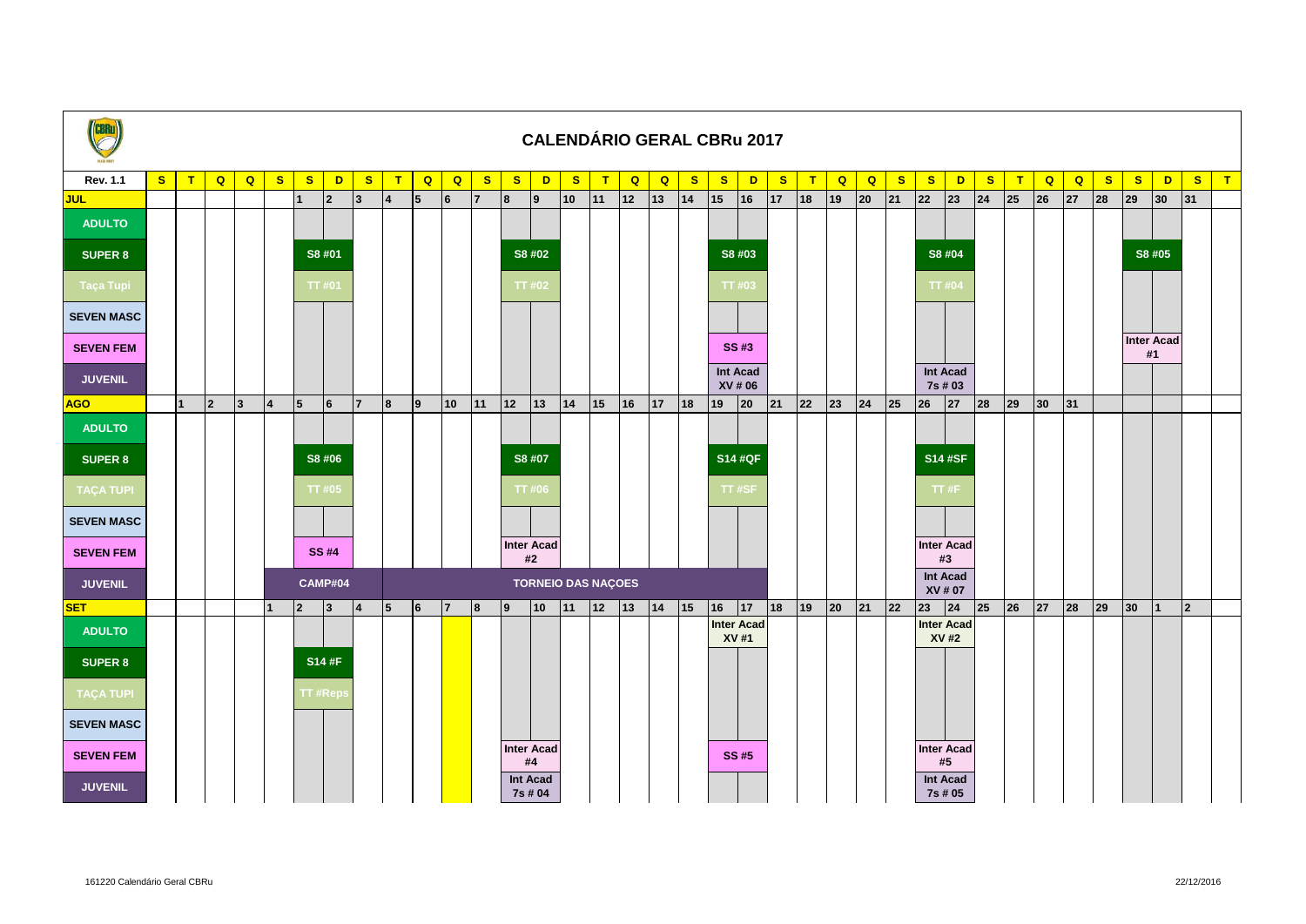| <b>CBRu</b>       |   |                |             |                |                |                                             |              |              |                 |                |    |                |                   |                     |              |              |              |                                       |              |              | <b>CALENDÁRIO GERAL CBRu 2017</b> |              |    |                |                     |              |              |                            |              |              |                |    |              |              |              |                |              |
|-------------------|---|----------------|-------------|----------------|----------------|---------------------------------------------|--------------|--------------|-----------------|----------------|----|----------------|-------------------|---------------------|--------------|--------------|--------------|---------------------------------------|--------------|--------------|-----------------------------------|--------------|----|----------------|---------------------|--------------|--------------|----------------------------|--------------|--------------|----------------|----|--------------|--------------|--------------|----------------|--------------|
| <b>Rev. 1.1</b>   | S | T              | Q           | $\overline{Q}$ | S              | $\mathbf{s}$                                | D            | $\mathbf{s}$ | T               | $\overline{Q}$ | Q  | $\mathbf{s}$   | $\mathbf{s}$      | $\mathbf{D}$        | $\mathbf{s}$ | $\mathbf{T}$ | Q            | $\mathbf{Q}$                          | $\mathbf{s}$ | $\mathbf{s}$ | D                                 | $\mathbf{s}$ | T  | $\overline{Q}$ | $\overline{Q}$      | $\mathbf{s}$ | $\mathbf{s}$ | D                          | $\mathbf{s}$ | T            | $\overline{Q}$ | Q  | S            | $\mathbf{s}$ | D            | $\mathbf{s}$   | $\mathbf{T}$ |
| <b>JUL</b>        |   |                |             |                |                | $\overline{1}$                              | $ 2\rangle$  | 3            | 4               | 5              | 6  | $\overline{7}$ | 8                 | $ 9\rangle$         | 10           | $ 11\rangle$ | 12           | $\begin{vmatrix} 13 \end{vmatrix}$ 14 |              | 15           | 16                                | 17           | 18 | $ 19\rangle$   | 20                  | 21           | 22           | $ 23\rangle$               | 24           | 25           | 26             | 27 | 28           | 29           | $ 30\rangle$ | 31             |              |
| <b>ADULTO</b>     |   |                |             |                |                |                                             |              |              |                 |                |    |                |                   |                     |              |              |              |                                       |              |              |                                   |              |    |                |                     |              |              |                            |              |              |                |    |              |              |              |                |              |
| <b>SUPER 8</b>    |   |                |             |                |                | S8 #01                                      |              |              |                 |                |    |                |                   | S8 #02              |              |              |              |                                       |              |              | S8 #03                            |              |    |                |                     |              |              | S8 #04                     |              |              |                |    |              |              | S8 #05       |                |              |
| Taça Tupi         |   |                |             |                |                |                                             | <b>TT#01</b> |              |                 |                |    |                |                   | TT #02              |              |              |              |                                       |              |              | <b>TT#03</b>                      |              |    |                |                     |              |              | TT#04                      |              |              |                |    |              |              |              |                |              |
| <b>SEVEN MASC</b> |   |                |             |                |                |                                             |              |              |                 |                |    |                |                   |                     |              |              |              |                                       |              |              |                                   |              |    |                |                     |              |              |                            |              |              |                |    |              |              |              |                |              |
| <b>SEVEN FEM</b>  |   | SS #3          |             |                |                |                                             |              |              |                 |                |    |                |                   |                     |              |              |              |                                       |              |              | <b>Inter Acad</b><br>#1           |              |    |                |                     |              |              |                            |              |              |                |    |              |              |              |                |              |
| <b>JUVENIL</b>    |   |                |             |                |                |                                             |              |              |                 |                |    |                |                   |                     |              |              |              |                                       |              |              | Int Acad<br>XV # 06               |              |    |                |                     |              |              | <b>Int Acad</b><br>7s # 03 |              |              |                |    |              |              |              |                |              |
| <b>AGO</b>        |   | $\overline{1}$ | $ 2\rangle$ | $ 3\rangle$    | $\overline{4}$ | 5                                           | 6            | 17           | 8               | $\overline{9}$ | 10 | 11             | 12                | $ 13\rangle$        | 14           | 15           | 16           | 17 18                                 |              | 19           | 20                                | 21           | 22 | $ 23\rangle$   | 24                  | 25           | 26           | 27                         | 28           | $ 29\rangle$ | $ 30\rangle$   | 31 |              |              |              |                |              |
| <b>ADULTO</b>     |   |                |             |                |                |                                             |              |              |                 |                |    |                |                   |                     |              |              |              |                                       |              |              |                                   |              |    |                |                     |              |              |                            |              |              |                |    |              |              |              |                |              |
| <b>SUPER 8</b>    |   |                |             |                |                |                                             | S8 #06       |              |                 |                |    |                |                   | S8 #07              |              |              |              |                                       |              |              | <b>S14 #QF</b>                    |              |    |                |                     |              |              | <b>S14 #SF</b>             |              |              |                |    |              |              |              |                |              |
| <b>TAÇA TUPI</b>  |   |                |             |                |                | <b>TT#05</b>                                |              |              |                 |                |    |                |                   | <b>TT#06</b>        |              |              |              |                                       |              |              | <b>TT#SF</b>                      |              |    |                |                     |              |              | TT#F                       |              |              |                |    |              |              |              |                |              |
| <b>SEVEN MASC</b> |   |                |             |                |                |                                             |              |              |                 |                |    |                |                   |                     |              |              |              |                                       |              |              |                                   |              |    |                |                     |              |              |                            |              |              |                |    |              |              |              |                |              |
| <b>SEVEN FEM</b>  |   |                |             |                |                |                                             | <b>SS #4</b> |              |                 |                |    |                | <b>Inter Acad</b> | #2                  |              |              |              |                                       |              |              |                                   |              |    |                |                     |              |              | <b>Inter Acad</b><br>#3    |              |              |                |    |              |              |              |                |              |
| <b>JUVENIL</b>    |   |                |             |                |                | <b>TORNEIO DAS NAÇOES</b><br><b>CAMP#04</b> |              |              |                 |                |    |                |                   |                     |              |              |              |                                       |              |              |                                   |              |    |                | Int Acad<br>XV # 07 |              |              |                            |              |              |                |    |              |              |              |                |              |
| <b>SET</b>        |   |                |             |                |                | $ 2\rangle$                                 | 3            | 4            | $5\phantom{.0}$ | 6              | 17 | 8              | Ι9                | 10                  | 11           | 12           | $ 13\rangle$ | 14                                    | 15           | 16           | 17                                | 18           | 19 | 20             | 21                  | 22           | 23           | 24                         | 25           | $ 26\rangle$ | 27             | 28 | $ 29\rangle$ | 30           | $\mathbf{1}$ | $\overline{2}$ |              |
| <b>ADULTO</b>     |   |                |             |                |                |                                             |              |              |                 |                |    |                |                   |                     |              |              |              |                                       |              |              | <b>Inter Acad</b><br>XV #1        |              |    |                |                     |              |              | <b>Inter Acad</b><br>XV #2 |              |              |                |    |              |              |              |                |              |
| <b>SUPER 8</b>    |   |                |             |                |                |                                             | <b>S14#F</b> |              |                 |                |    |                |                   |                     |              |              |              |                                       |              |              |                                   |              |    |                |                     |              |              |                            |              |              |                |    |              |              |              |                |              |
| <b>TAÇA TUPI</b>  |   |                |             |                |                | TT #Reps                                    |              |              |                 |                |    |                |                   |                     |              |              |              |                                       |              |              |                                   |              |    |                |                     |              |              |                            |              |              |                |    |              |              |              |                |              |
| <b>SEVEN MASC</b> |   |                |             |                |                |                                             |              |              |                 |                |    |                |                   |                     |              |              |              |                                       |              |              |                                   |              |    |                |                     |              |              |                            |              |              |                |    |              |              |              |                |              |
| <b>SEVEN FEM</b>  |   |                |             |                |                |                                             |              |              |                 |                |    |                | <b>Inter Acad</b> | #4                  |              |              |              |                                       |              |              | <b>SS#5</b>                       |              |    |                |                     |              |              | <b>Inter Acad</b><br>#5    |              |              |                |    |              |              |              |                |              |
| <b>JUVENIL</b>    |   |                |             |                |                |                                             |              |              |                 |                |    |                |                   | Int Acad<br>7s # 04 |              |              |              |                                       |              |              |                                   |              |    |                |                     |              |              | Int Acad<br>7s # 05        |              |              |                |    |              |              |              |                |              |